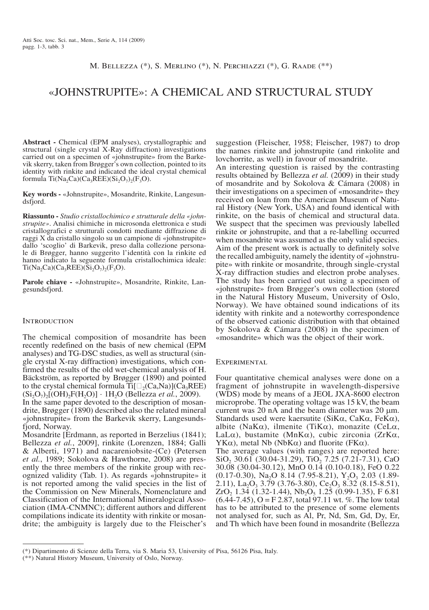M. Bellezza (\*), S. Merlino (\*), N. Perchiazzi (\*), G. Raade (\*\*)

# «Johnstrupite»: a chemical and structural study

**Abstract -** Chemical (EPM analyses), crystallographic and structural (single crystal X-Ray diffraction) investigations carried out on a specimen of «johnstrupite» from the Barkevik skerry, taken from Brøgger's own collection, pointed to its identity with rinkite and indicated the ideal crystal chemical formula Ti(Na<sub>2</sub>Ca)(Ca<sub>3</sub>REE)(Si<sub>2</sub>O<sub>7</sub>)<sub>2</sub>(F<sub>3</sub>O).

**Key words -** «Johnstrupite», Mosandrite, Rinkite, Langesundsfjord.

**Riassunto -** *Studio cristallochimico e strutturale della «johnstrupite»*. Analisi chimiche in microsonda elettronica e studi cristallografici e strutturali condotti mediante diffrazione di raggi X da cristallo singolo su un campione di «johnstrupite» dallo 'scoglio' di Barkevik, preso dalla collezione personale di Brøgger, hanno suggerito l'identità con la rinkite ed hanno indicato la seguente formula cristallochimica ideale:  $Ti(Na_2Ca)(Ca_3REE)(Si_2O_7)_2(F_3O).$ 

**Parole chiave -** «Johnstrupite», Mosandrite, Rinkite, Langesundsfjord.

### **INTRODUCTION**

The chemical composition of mosandrite has been recently redefined on the basis of new chemical (EPM analyses) and TG-DSC studies, as well as structural (single crystal X-ray diffraction) investigations, which confirmed the results of the old wet-chemical analysis of H. Bäckström, as reported by Brøgger (1890) and pointed to the crystal chemical formula  $Ti[\Box_2(Ca,Na)](Ca,REE)$  $(Si_2O_7)_2[(OH)_2F(H_2O)] \cdot 1H_2O$  (Bellezza *et al.*, 2009). In the same paper devoted to the description of mosan-

drite, Brøgger (1890) described also the related mineral «johnstrupite» from the Barkevik skerry, Langesundsfjord, Norway.

Mosandrite [Erdmann, as reported in Berzelius (1841); Bellezza *et al.*, 2009], rinkite (Lorenzen, 1884; Galli & Alberti, 1971) and nacareniobsite-(Ce) (Petersen *et al.*, 1989; Sokolova & Hawthorne, 2008) are presently the three members of the rinkite group with recognized validity (Tab. 1). As regards «johnstrupite» it is not reported among the valid species in the list of the Commission on New Minerals, Nomenclature and Classification of the International Mineralogical Association (IMA-CNMNC); different authors and different compilations indicate its identity with rinkite or mosandrite; the ambiguity is largely due to the Fleischer's suggestion (Fleischer, 1958; Fleischer, 1987) to drop the names rinkite and johnstrupite (and rinkolite and lovchorrite, as well) in favour of mosandrite.

An interesting question is raised by the contrasting results obtained by Bellezza *et al.* (2009) in their study of mosandrite and by Sokolova & Cámara (2008) in their investigations on a specimen of «mosandrite» they received on loan from the American Museum of Natural History (New York, USA) and found identical with rinkite, on the basis of chemical and structural data. We suspect that the specimen was previously labelled rinkite or johnstrupite, and that a re-labelling occurred when mosandrite was assumed as the only valid species. Aim of the present work is actually to definitely solve the recalled ambiguity, namely the identity of «johnstrupite» with rinkite or mosandrite, through single-crystal X-ray diffraction studies and electron probe analyses. The study has been carried out using a specimen of «johnstrupite» from Brøgger's own collection (stored in the Natural History Museum, University of Oslo, Norway). We have obtained sound indications of its identity with rinkite and a noteworthy correspondence of the observed cationic distribution with that obtained by Sokolova & Cámara (2008) in the specimen of «mosandrite» which was the object of their work.

## **EXPERIMENTAL**

Four quantitative chemical analyses were done on a fragment of johnstrupite in wavelength-dispersive (WDS) mode by means of a JEOL JXA-8600 electron microprobe. The operating voltage was 15 kV, the beam current was 20 nA and the beam diameter was 20  $\mu$ m. Standards used were kaersutite (SiKα, CaKα, FeKα), albite (NaK $\alpha$ ), ilmenite (TiK $\alpha$ ), monazite (CeL $\alpha$ , LaLα), bustamite (MnKα), cubic zirconia (ZrKα, YKα), metal Nb (NbKα) and fluorite (FKα). The average values (with ranges) are reported here:  $SiO<sub>2</sub>$  30.61 (30.04-31.29), TiO<sub>2</sub> 7.25 (7.21-7.31), CaO 30.08 (30.04-30.12), MnO 0.14 (0.10-0.18), FeO 0.22  $(0.17-0.30)$ , Na<sub>2</sub>O 8.14 (7.95-8.21), Y<sub>2</sub>O<sub>3</sub> 2.03 (1.89-2.11), La<sub>2</sub>O<sub>3</sub> 3.79 (3.76-3.80), Ce<sub>2</sub>O<sub>3</sub> 8.32 (8.15-8.51),  $ZrO<sub>2</sub> 1.34 (1.32-1.44), Nb<sub>2</sub>O<sub>5</sub> 1.25 (0.99-1.35), F 6.81$  $(6.44-7.45)$ , O = F 2.87, total 97.11 wt. %. The low total has to be attributed to the presence of some elements not analysed for, such as Al, Pr, Nd, Sm, Gd, Dy, Er, and Th which have been found in mosandrite (Bellezza

<sup>(\*)</sup> Dipartimento di Scienze della Terra, via S. Maria 53, University of Pisa, 56126 Pisa, Italy.

<sup>(\*\*)</sup> Natural History Museum, University of Oslo, Norway.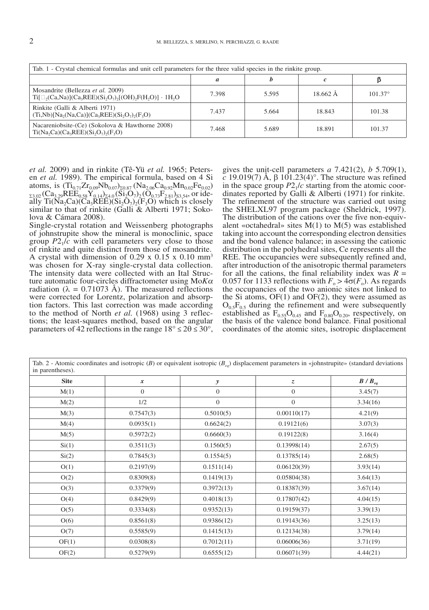| Tab. 1 - Crystal chemical formulas and unit cell parameters for the three valid species in the rinkite group. |       |       |          |                  |  |  |  |
|---------------------------------------------------------------------------------------------------------------|-------|-------|----------|------------------|--|--|--|
|                                                                                                               | a     |       |          |                  |  |  |  |
| Mosandrite (Bellezza et al. 2009)<br>$Ti[\Box_2(Ca,Na)](Ca_3REE)(Si_2O_7)_{2}[(OH)_2F(H_2O)] \cdot 1H_2O$     | 7.398 | 5.595 | 18.662 Å | $101.37^{\circ}$ |  |  |  |
| Rinkite (Galli & Alberti 1971)<br>$(Ti, Nb)[Na2(Na, Ca)](Ca3REE)(Si2O7)2(F3O)$                                | 7.437 | 5.664 | 18.843   | 101.38           |  |  |  |
| Nacareniobsite-(Ce) (Sokolova & Hawthorne 2008)<br>$Ti(Na_2 Ca)(Ca_3REE)(Si_2O_7)_{2}(F_3O)$                  | 7.468 | 5.689 | 18.891   | 101.37           |  |  |  |

*et al.* 2009) and in rinkite (Tê-Yü *et al.* 1965; Peters- en *et al.* 1989). The empirical formula, based on 4 Si atoms, is  $(Ti_{0.71}Zr_{0.09}Nb_{0.07})_{\Sigma 0.87}$  (Na<sub>2.06</sub>Ca<sub>0.92</sub>Mn<sub>0.02</sub>Fe<sub>0.02</sub>)  $\frac{\Sigma_{23,02}}{23.02}$  (Ca<sub>3.29</sub>REE<sub>0.58</sub>Y<sub>0.14)</sub>  $\frac{\Sigma_{4,0}}{207}$  (O<sub>0.73</sub>F<sub>2.81</sub>)<sub>S3.54</sub>, or ide-<br>ally Ti(Na<sub>2</sub>Ca)(Ca<sub>3</sub>REE)(Si<sub>2</sub>O<sub>7</sub>)<sub>2</sub>(F<sub>3</sub>O) which is closely ally Ti(Na<sub>2</sub>Ca)(Ca<sub>3</sub>REE)(Si<sub>2</sub>O<sub>7</sub>)<sub>2</sub>(F<sub>3</sub>O) which is closely similar to that of rinkite (Galli & Alberti 1971; Sokolova & Cámara 2008).

Single-crystal rotation and Weissenberg photographs of johnstrupite show the mineral is monoclinic, space group  $P2<sub>1</sub>/c$  with cell parameters very close to those of rinkite and quite distinct from those of mosandrite. A crystal with dimension of 0.29 x 0.15 x 0.10 mm3 was chosen for X-ray single-crystal data collection.<br>The intensity data were collected with an Ital Structure automatic four-circles diffractometer using Mo*Kα* radiation ( $\lambda = 0.71073$  Å). The measured reflections were corrected for Lorentz, polarization and absorption factors. This last correction was made according to the method of North *et al.* (1968) using 3 reflections; the least-squares method, based on the angular parameters of 42 reflections in the range  $18^{\circ} \le 2\theta \le 30^{\circ}$ ,

gives the unit-cell parameters *a* 7.421(2), *b* 5.709(1), *c* 19.019(7) Å, β 101.23(4)°. The structure was refined in the space group  $P2<sub>1</sub>/c$  starting from the atomic coordinates reported by Galli & Alberti (1971) for rinkite. The refinement of the structure was carried out using the SHELXL97 program package (Sheldrick, 1997).<br>The distribution of the cations over the five non-equivalent «octahedral» sites  $M(1)$  to  $M(5)$  was established taking into account the corresponding electron densities and the bond valence balance; in assessing the cationic distribution in the polyhedral sites, Ce represents all the REE. The occupancies were subsequently refined and, after introduction of the anisotropic thermal parameters for all the cations, the final reliability index was  $R =$ 0.057 for 1133 reflections with  $F_{o} > 4\sigma(F_{o})$ . As regards the occupancies of the two anionic sites not linked to the Si atoms,  $OF(1)$  and  $OF(2)$ , they were assumed as  $O_{0.5}F_{0.5}$  during the refinement and were subsequently established as  $F_{0.55}O_{0.45}$  and  $F_{0.80}O_{0.20}$ , respectively, on the basis of the valence bond balance. Final positional coordinates of the atomic sites, isotropic displacement

Tab. 2 - Atomic coordinates and isotropic (*B*) or equivalent isotropic (*Beq*) displacement parameters in «johnstrupite» (standard deviations in parentheses).

| <b>Site</b> | x                | $\mathbf{y}$ | Z.           | $B/B_{eq}$ |
|-------------|------------------|--------------|--------------|------------|
| M(1)        | $\boldsymbol{0}$ | $\mathbf{0}$ | $\mathbf{0}$ | 3.45(7)    |
| M(2)        | 1/2              | $\mathbf{0}$ | $\mathbf{0}$ | 3.34(16)   |
| M(3)        | 0.7547(3)        | 0.5010(5)    | 0.00110(17)  | 4.21(9)    |
| M(4)        | 0.0935(1)        | 0.6624(2)    | 0.19121(6)   | 3.07(3)    |
| M(5)        | 0.5972(2)        | 0.6660(3)    | 0.19122(8)   | 3.16(4)    |
| Si(1)       | 0.3511(3)        | 0.1560(5)    | 0.13998(14)  | 2.67(5)    |
| Si(2)       | 0.7845(3)        | 0.1554(5)    | 0.13785(14)  | 2.68(5)    |
| O(1)        | 0.2197(9)        | 0.1511(14)   | 0.06120(39)  | 3.93(14)   |
| O(2)        | 0.8309(8)        | 0.1419(13)   | 0.05804(38)  | 3.64(13)   |
| O(3)        | 0.3379(9)        | 0.3972(13)   | 0.18387(39)  | 3.67(14)   |
| O(4)        | 0.8429(9)        | 0.4018(13)   | 0.17807(42)  | 4.04(15)   |
| O(5)        | 0.3334(8)        | 0.9352(13)   | 0.19159(37)  | 3.39(13)   |
| O(6)        | 0.8561(8)        | 0.9386(12)   | 0.19143(36)  | 3.25(13)   |
| O(7)        | 0.5585(9)        | 0.1415(13)   | 0.12134(38)  | 3.79(14)   |
| OF(1)       | 0.0308(8)        | 0.7012(11)   | 0.06006(36)  | 3.71(19)   |
| OF(2)       | 0.5279(9)        | 0.6555(12)   | 0.06071(39)  | 4.44(21)   |